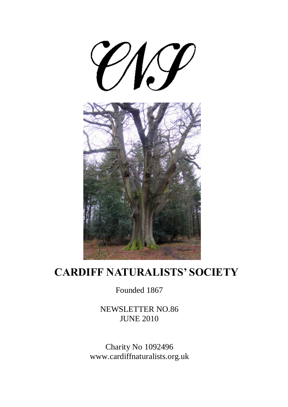

## **CARDIFF NATURALISTS' SOCIETY**

Founded 1867

NEWSLETTER NO.86 JUNE 2010

Charity No 1092496 www.cardiffnaturalists.org.uk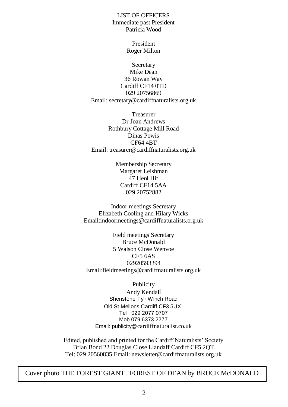LIST OF OFFICERS Immediate past President Patricia Wood

> President Roger Milton

Secretary Mike Dean 36 Rowan Way Cardiff CF14 0TD 029 20756869 Email: secretary@cardiffnaturalists.org.uk

Treasurer Dr Joan Andrews Rothbury Cottage Mill Road Dinas Powis CF64 4BT Email: treasurer@cardiffnaturalists.org.uk

> Membership Secretary Margaret Leishman 47 Heol Hir Cardiff CF14 5AA 029 20752882

Indoor meetings Secretary Elizabeth Cooling and Hilary Wicks Email:indoormeetings@cardiffnaturalists.org.uk

Field meetings Secretary Bruce McDonald 5 Walson Close Wenvoe CF5 6AS 02920593394 Email:fieldmeetings@cardiffnaturalists.org.uk

Publicity

Andy Kendall Shenstone Ty'r Winch Road Old St Mellons Cardiff CF3 5UX Tel 029 2077 0707 Mob 079 6373 2277 Email: publicity@cardiffnaturalist.co.uk

Edited, published and printed for the Cardiff Naturalists' Society Brian Bond 22 Douglas Close Llandaff Cardiff CF5 2QT Tel: 029 20560835 Email: newsletter@cardiffnaturalists.org.uk

Cover photo THE FOREST GIANT . FOREST OF DEAN by BRUCE McDONALD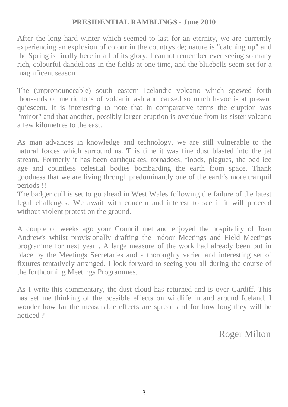#### **PRESIDENTIAL RAMBLINGS - June 2010**

After the long hard winter which seemed to last for an eternity, we are currently experiencing an explosion of colour in the countryside; nature is "catching up" and the Spring is finally here in all of its glory. I cannot remember ever seeing so many rich, colourful dandelions in the fields at one time, and the bluebells seem set for a magnificent season.

The (unpronounceable) south eastern Icelandic volcano which spewed forth thousands of metric tons of volcanic ash and caused so much havoc is at present quiescent. It is interesting to note that in comparative terms the eruption was "minor" and that another, possibly larger eruption is overdue from its sister volcano a few kilometres to the east.

As man advances in knowledge and technology, we are still vulnerable to the natural forces which surround us. This time it was fine dust blasted into the jet stream. Formerly it has been earthquakes, tornadoes, floods, plagues, the odd ice age and countless celestial bodies bombarding the earth from space. Thank goodness that we are living through predominantly one of the earth's more tranquil periods !!

The badger cull is set to go ahead in West Wales following the failure of the latest legal challenges. We await with concern and interest to see if it will proceed without violent protest on the ground.

A couple of weeks ago your Council met and enjoyed the hospitality of Joan Andrew's whilst provisionally drafting the Indoor Meetings and Field Meetings programme for next year . A large measure of the work had already been put in place by the Meetings Secretaries and a thoroughly varied and interesting set of fixtures tentatively arranged. I look forward to seeing you all during the course of the forthcoming Meetings Programmes.

As I write this commentary, the dust cloud has returned and is over Cardiff. This has set me thinking of the possible effects on wildlife in and around Iceland. I wonder how far the measurable effects are spread and for how long they will be noticed ?

Roger Milton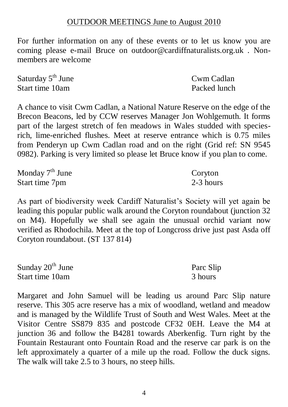#### OUTDOOR MEETINGS June to August 2010

For further information on any of these events or to let us know you are coming please e-mail Bruce on outdoor@cardiffnaturalists.org.uk . Nonmembers are welcome

| Saturday $5th$ June | Cwm Cadlan   |
|---------------------|--------------|
| Start time 10am     | Packed lunch |

A chance to visit Cwm Cadlan, a National Nature Reserve on the edge of the Brecon Beacons, led by CCW reserves Manager Jon Wohlgemuth. It forms part of the largest stretch of fen meadows in Wales studded with speciesrich, lime-enriched flushes. Meet at reserve entrance which is 0.75 miles from Penderyn up Cwm Cadlan road and on the right (Grid ref: SN 9545 0982). Parking is very limited so please let Bruce know if you plan to come.

| Monday $7th$ June | Coryton   |
|-------------------|-----------|
| Start time 7pm    | 2-3 hours |

As part of biodiversity week Cardiff Naturalist's Society will yet again be leading this popular public walk around the Coryton roundabout (junction 32 on M4). Hopefully we shall see again the unusual orchid variant now verified as Rhodochila. Meet at the top of Longcross drive just past Asda off Coryton roundabout. (ST 137 814)

| Sunday 20 <sup>th</sup> June | Parc Slip |
|------------------------------|-----------|
| Start time 10am              | 3 hours   |

Margaret and John Samuel will be leading us around Parc Slip nature reserve. This 305 acre reserve has a mix of woodland, wetland and meadow and is managed by the Wildlife Trust of South and West Wales. Meet at the Visitor Centre SS879 835 and postcode CF32 0EH. Leave the M4 at junction 36 and follow the B4281 towards Aberkenfig. Turn right by the Fountain Restaurant onto Fountain Road and the reserve car park is on the left approximately a quarter of a mile up the road. Follow the duck signs. The walk will take 2.5 to 3 hours, no steep hills.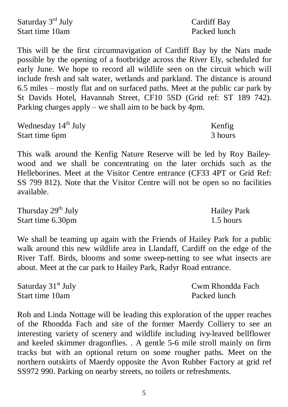| Saturday 3 <sup>rd</sup> July | Cardiff Bay  |
|-------------------------------|--------------|
| Start time 10am               | Packed lunch |

This will be the first circumnavigation of Cardiff Bay by the Nats made possible by the opening of a footbridge across the River Ely, scheduled for early June. We hope to record all wildlife seen on the circuit which will include fresh and salt water, wetlands and parkland. The distance is around 6.5 miles – mostly flat and on surfaced paths. Meet at the public car park by St Davids Hotel, Havannah Street, CF10 5SD (Grid ref: ST 189 742). Parking charges apply – we shall aim to be back by 4pm.

| Wednesday $14th$ July | Kenfig  |
|-----------------------|---------|
| Start time 6pm        | 3 hours |

This walk around the Kenfig Nature Reserve will be led by Roy Baileywood and we shall be concentrating on the later orchids such as the Helleborines. Meet at the Visitor Centre entrance (CF33 4PT or Grid Ref: SS 799 812). Note that the Visitor Centre will not be open so no facilities available.

| Thursday 29 <sup>th</sup> July | <b>Hailey Park</b> |
|--------------------------------|--------------------|
| Start time 6.30pm              | 1.5 hours          |

We shall be teaming up again with the Friends of Hailey Park for a public walk around this new wildlife area in Llandaff, Cardiff on the edge of the River Taff. Birds, blooms and some sweep-netting to see what insects are about. Meet at the car park to Hailey Park, Radyr Road entrance.

| Saturday $31st$ July | Cwm Rhondda Fach |
|----------------------|------------------|
| Start time 10am      | Packed lunch     |

Rob and Linda Nottage will be leading this exploration of the upper reaches of the Rhondda Fach and site of the former Maerdy Colliery to see an interesting variety of scenery and wildlife including ivy-leaved bellflower and keeled skimmer dragonflies. . A gentle 5-6 mile stroll mainly on firm tracks but with an optional return on some rougher paths. Meet on the northern outskirts of Maerdy opposite the Avon Rubber Factory at grid ref SS972 990. Parking on nearby streets, no toilets or refreshments.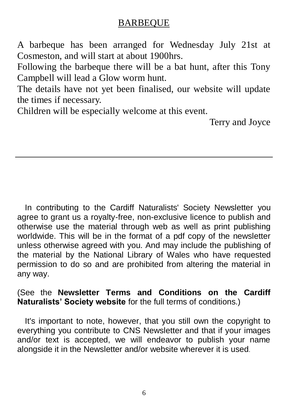#### BARBEQUE

A barbeque has been arranged for Wednesday July 21st at Cosmeston, and will start at about 1900hrs.

Following the barbeque there will be a bat hunt, after this Tony Campbell will lead a Glow worm hunt.

The details have not yet been finalised, our website will update the times if necessary.

Children will be especially welcome at this event.

Terry and Joyce

In contributing to the Cardiff Naturalists' Society Newsletter you agree to grant us a royalty-free, non-exclusive licence to publish and otherwise use the material through web as well as print publishing worldwide. This will be in the format of a pdf copy of the newsletter unless otherwise agreed with you. And may include the publishing of the material by the National Library of Wales who have requested permission to do so and are prohibited from altering the material in any way.

#### (See the **Newsletter Terms and Conditions on the Cardiff Naturalists' Society website** for the full terms of conditions.)

It's important to note, however, that you still own the copyright to everything you contribute to CNS Newsletter and that if your images and/or text is accepted, we will endeavor to publish your name alongside it in the Newsletter and/or website wherever it is used.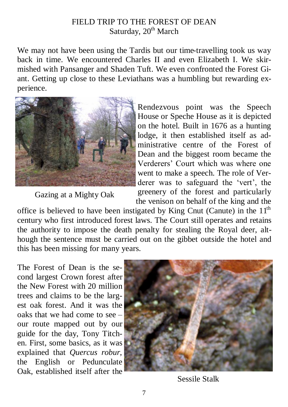#### FIELD TRIP TO THE FOREST OF DEAN Saturday, 20<sup>th</sup> March

We may not have been using the Tardis but our time-travelling took us way back in time. We encountered Charles II and even Elizabeth I. We skirmished with Pansanger and Shaden Tuft. We even confronted the Forest Giant. Getting up close to these Leviathans was a humbling but rewarding experience.



Gazing at a Mighty Oak

Rendezvous point was the Speech House or Speche House as it is depicted on the hotel. Built in 1676 as a hunting lodge, it then established itself as administrative centre of the Forest of Dean and the biggest room became the Verderers' Court which was where one went to make a speech. The role of Verderer was to safeguard the 'vert', the greenery of the forest and particularly the venison on behalf of the king and the

office is believed to have been instigated by King Cnut (Canute) in the  $11<sup>th</sup>$ century who first introduced forest laws. The Court still operates and retains the authority to impose the death penalty for stealing the Royal deer, although the sentence must be carried out on the gibbet outside the hotel and this has been missing for many years.

The Forest of Dean is the second largest Crown forest after the New Forest with 20 million trees and claims to be the largest oak forest. And it was the oaks that we had come to see – our route mapped out by our guide for the day, Tony Titchen. First, some basics, as it was explained that *Quercus robur*, the English or Pedunculate Oak, established itself after the



Sessile Stalk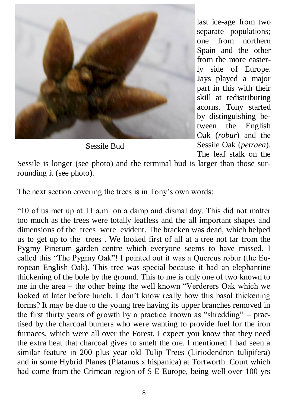

Sessile Bud

last ice-age from two separate populations; one from northern Spain and the other from the more easterly side of Europe. Jays played a major part in this with their skill at redistributing acorns. Tony started by distinguishing between the English Oak (*robur*) and the Sessile Oak (*petraea*). The leaf stalk on the

Sessile is longer (see photo) and the terminal bud is larger than those surrounding it (see photo).

The next section covering the trees is in Tony's own words:

―10 of us met up at 11 a.m on a damp and dismal day. This did not matter too much as the trees were totally leafless and the all important shapes and dimensions of the trees were evident. The bracken was dead, which helped us to get up to the trees . We looked first of all at a tree not far from the Pygmy Pinetum garden centre which everyone seems to have missed. I called this "The Pygmy Oak"! I pointed out it was a Quercus robur (the European English Oak). This tree was special because it had an elephantine thickening of the bole by the ground. This to me is only one of two known to me in the area – the other being the well known "Verderers Oak which we looked at later before lunch. I don't know really how this basal thickening forms? It may be due to the young tree having its upper branches removed in the first thirty years of growth by a practice known as "shredding" – practised by the charcoal burners who were wanting to provide fuel for the iron furnaces, which were all over the Forest. I expect you know that they need the extra heat that charcoal gives to smelt the ore. I mentioned I had seen a similar feature in 200 plus year old Tulip Trees (Liriodendron tulipifera) and in some Hybrid Planes (Platanus x hispanica) at Tortworth Court which had come from the Crimean region of S E Europe, being well over 100 yrs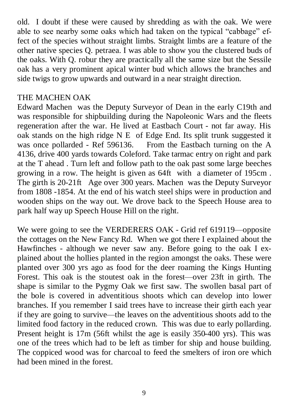old. I doubt if these were caused by shredding as with the oak. We were able to see nearby some oaks which had taken on the typical "cabbage" effect of the species without straight limbs. Straight limbs are a feature of the other native species Q. petraea. I was able to show you the clustered buds of the oaks. With Q. robur they are practically all the same size but the Sessile oak has a very prominent apical winter bud which allows the branches and side twigs to grow upwards and outward in a near straight direction.

#### THE MACHEN OAK

Edward Machen was the Deputy Surveyor of Dean in the early C19th and was responsible for shipbuilding during the Napoleonic Wars and the fleets regeneration after the war. He lived at Eastbach Court - not far away. His oak stands on the high ridge N E of Edge End. Its split trunk suggested it was once pollarded - Ref 596136. From the Eastbach turning on the A 4136, drive 400 yards towards Coleford. Take tarmac entry on right and park at the T ahead . Turn left and follow path to the oak past some large beeches growing in a row. The height is given as 64ft with a diameter of 195cm . The girth is 20-21ft Age over 300 years. Machen was the Deputy Surveyor from 1808 -1854. At the end of his watch steel ships were in production and wooden ships on the way out. We drove back to the Speech House area to park half way up Speech House Hill on the right.

We were going to see the VERDERERS OAK - Grid ref 619119—opposite the cottages on the New Fancy Rd. When we got there I explained about the Hawfinches - although we never saw any. Before going to the oak I explained about the hollies planted in the region amongst the oaks. These were planted over 300 yrs ago as food for the deer roaming the Kings Hunting Forest. This oak is the stoutest oak in the forest—over 23ft in girth. The shape is similar to the Pygmy Oak we first saw. The swollen basal part of the bole is covered in adventitious shoots which can develop into lower branches. If you remember I said trees have to increase their girth each year if they are going to survive—the leaves on the adventitious shoots add to the limited food factory in the reduced crown. This was due to early pollarding. Present height is 17m (56ft whilst the age is easily 350-400 yrs). This was one of the trees which had to be left as timber for ship and house building. The coppiced wood was for charcoal to feed the smelters of iron ore which had been mined in the forest.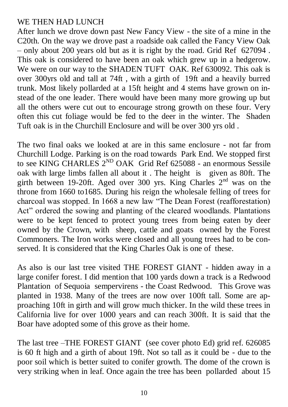#### WE THEN HAD LUNCH

After lunch we drove down past New Fancy View - the site of a mine in the C20th. On the way we drove past a roadside oak called the Fancy View Oak – only about 200 years old but as it is right by the road. Grid Ref 627094 . This oak is considered to have been an oak which grew up in a hedgerow. We were on our way to the SHADEN TUFT OAK. Ref 630092. This oak is over 300yrs old and tall at 74ft , with a girth of 19ft and a heavily burred trunk. Most likely pollarded at a 15ft height and 4 stems have grown on instead of the one leader. There would have been many more growing up but all the others were cut out to encourage strong growth on these four. Very often this cut foliage would be fed to the deer in the winter. The Shaden Tuft oak is in the Churchill Enclosure and will be over 300 yrs old .

The two final oaks we looked at are in this same enclosure - not far from Churchill Lodge. Parking is on the road towards Park End. We stopped first to see KING CHARLES  $2^{ND}$  OAK Grid Ref 625088 - an enormous Sessile oak with large limbs fallen all about it . The height is given as 80ft. The girth between 19-20ft. Aged over 300 yrs. King Charles  $2<sup>nd</sup>$  was on the throne from 1660 to1685. During his reign the wholesale felling of trees for charcoal was stopped. In 1668 a new law "The Dean Forest (reafforestation) Act" ordered the sowing and planting of the cleared woodlands. Plantations were to be kept fenced to protect young trees from being eaten by deer owned by the Crown, with sheep, cattle and goats owned by the Forest Commoners. The Iron works were closed and all young trees had to be conserved. It is considered that the King Charles Oak is one of these.

As also is our last tree visited THE FOREST GIANT - hidden away in a large conifer forest. I did mention that 100 yards down a track is a Redwood Plantation of Sequoia sempervirens - the Coast Redwood. This Grove was planted in 1938. Many of the trees are now over 100ft tall. Some are approaching 10ft in girth and will grow much thicker. In the wild these trees in California live for over 1000 years and can reach 300ft. It is said that the Boar have adopted some of this grove as their home.

The last tree –THE FOREST GIANT (see cover photo Ed) grid ref. 626085 is 60 ft high and a girth of about 19ft. Not so tall as it could be - due to the poor soil which is better suited to conifer growth. The dome of the crown is very striking when in leaf. Once again the tree has been pollarded about 15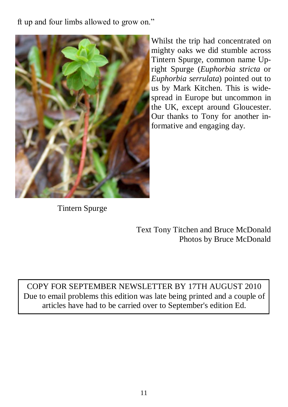ft up and four limbs allowed to grow on."



Whilst the trip had concentrated on mighty oaks we did stumble across Tintern Spurge, common name Upright Spurge (*Euphorbia stricta* or *Euphorbia serrulata*) pointed out to us by Mark Kitchen. This is widespread in Europe but uncommon in the UK, except around Gloucester. Our thanks to Tony for another informative and engaging day.

Tintern Spurge

Text Tony Titchen and Bruce McDonald Photos by Bruce McDonald

COPY FOR SEPTEMBER NEWSLETTER BY 17TH AUGUST 2010 Due to email problems this edition was late being printed and a couple of articles have had to be carried over to September's edition Ed.